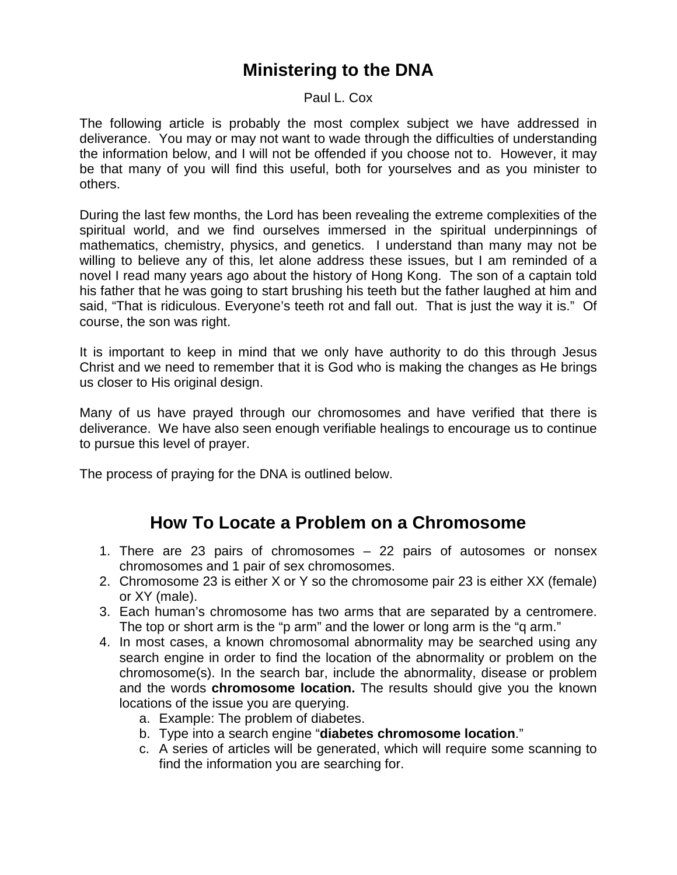## **Ministering to the DNA**

Paul L. Cox

The following article is probably the most complex subject we have addressed in deliverance. You may or may not want to wade through the difficulties of understanding the information below, and I will not be offended if you choose not to. However, it may be that many of you will find this useful, both for yourselves and as you minister to others.

During the last few months, the Lord has been revealing the extreme complexities of the spiritual world, and we find ourselves immersed in the spiritual underpinnings of mathematics, chemistry, physics, and genetics. I understand than many may not be willing to believe any of this, let alone address these issues, but I am reminded of a novel I read many years ago about the history of Hong Kong. The son of a captain told his father that he was going to start brushing his teeth but the father laughed at him and said, "That is ridiculous. Everyone's teeth rot and fall out. That is just the way it is." Of course, the son was right.

It is important to keep in mind that we only have authority to do this through Jesus Christ and we need to remember that it is God who is making the changes as He brings us closer to His original design.

Many of us have prayed through our chromosomes and have verified that there is deliverance. We have also seen enough verifiable healings to encourage us to continue to pursue this level of prayer.

The process of praying for the DNA is outlined below.

## **How To Locate a Problem on a Chromosome**

- 1. There are 23 pairs of chromosomes 22 pairs of autosomes or nonsex chromosomes and 1 pair of sex chromosomes.
- 2. Chromosome 23 is either X or Y so the chromosome pair 23 is either XX (female) or XY (male).
- 3. Each human's chromosome has two arms that are separated by a centromere. The top or short arm is the "p arm" and the lower or long arm is the "q arm."
- 4. In most cases, a known chromosomal abnormality may be searched using any search engine in order to find the location of the abnormality or problem on the chromosome(s). In the search bar, include the abnormality, disease or problem and the words **chromosome location.** The results should give you the known locations of the issue you are querying.
	- a. Example: The problem of diabetes.
	- b. Type into a search engine "**diabetes chromosome location**."
	- c. A series of articles will be generated, which will require some scanning to find the information you are searching for.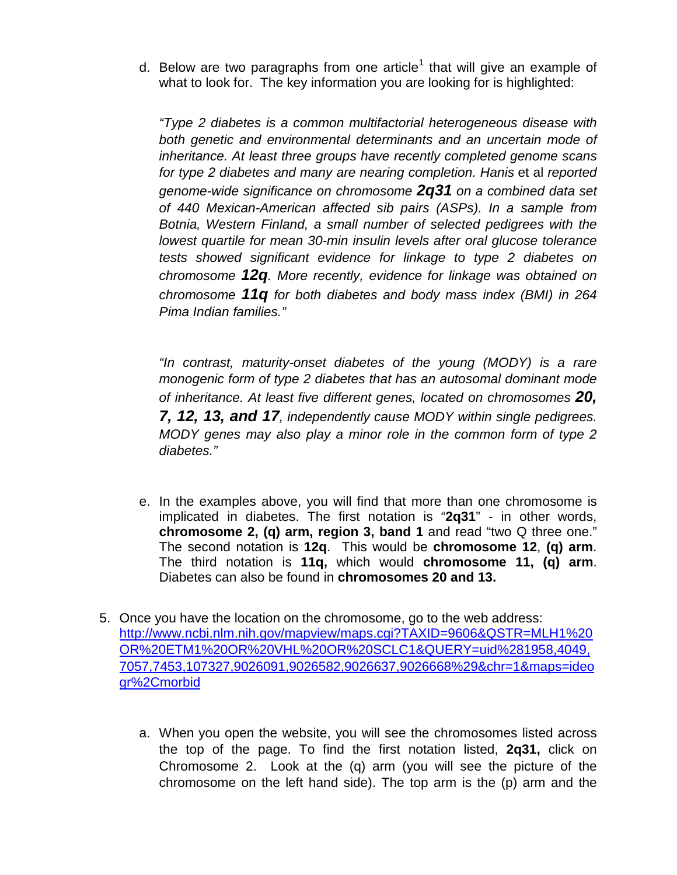d. Below are two paragraphs from one article<sup>[1](#page-3-0)</sup> that will give an example of what to look for. The key information you are looking for is highlighted:

*"Type 2 diabetes is a common multifactorial heterogeneous disease with both genetic and environmental determinants and an uncertain mode of inheritance. At least three groups have recently completed genome scans for type 2 diabetes and many are nearing completion. Hanis* et al *reported genome-wide significance on chromosome 2q31 on a combined data set of 440 Mexican-American affected sib pairs (ASPs). In a sample from Botnia, Western Finland, a small number of selected pedigrees with the lowest quartile for mean 30-min insulin levels after oral glucose tolerance tests showed significant evidence for linkage to type 2 diabetes on chromosome 12q. More recently, evidence for linkage was obtained on chromosome 11q for both diabetes and body mass index (BMI) in 264 Pima Indian families."*

*"In contrast, maturity-onset diabetes of the young (MODY) is a rare monogenic form of type 2 diabetes that has an autosomal dominant mode of inheritance. At least five different genes, located on chromosomes 20, 7, 12, 13, and 17, independently cause MODY within single pedigrees. MODY genes may also play a minor role in the common form of type 2 diabetes."*

- e. In the examples above, you will find that more than one chromosome is implicated in diabetes. The first notation is "**2q31**" - in other words, **chromosome 2, (q) arm, region 3, band 1** and read "two Q three one." The second notation is **12q**. This would be **chromosome 12**, **(q) arm**. The third notation is **11q,** which would **chromosome 11, (q) arm**. Diabetes can also be found in **chromosomes 20 and 13.**
- 5. Once you have the location on the chromosome, go to the web address: [http://www.ncbi.nlm.nih.gov/mapview/maps.cgi?TAXID=9606&QSTR=MLH1%20](http://www.ncbi.nlm.nih.gov/mapview/maps.cgi?TAXID=9606&QSTR=MLH1%20OR%20ETM1%20OR%20VHL%20OR%20SCLC1&QUERY=uid%281958,4049,7057,7453,107327,9026091,9026582,9026637,9026668%29&chr=1&maps=ideogr%2Cmorbid) [OR%20ETM1%20OR%20VHL%20OR%20SCLC1&QUERY=uid%281958,4049,](http://www.ncbi.nlm.nih.gov/mapview/maps.cgi?TAXID=9606&QSTR=MLH1%20OR%20ETM1%20OR%20VHL%20OR%20SCLC1&QUERY=uid%281958,4049,7057,7453,107327,9026091,9026582,9026637,9026668%29&chr=1&maps=ideogr%2Cmorbid) [7057,7453,107327,9026091,9026582,9026637,9026668%29&chr=1&maps=ideo](http://www.ncbi.nlm.nih.gov/mapview/maps.cgi?TAXID=9606&QSTR=MLH1%20OR%20ETM1%20OR%20VHL%20OR%20SCLC1&QUERY=uid%281958,4049,7057,7453,107327,9026091,9026582,9026637,9026668%29&chr=1&maps=ideogr%2Cmorbid) [gr%2Cmorbid](http://www.ncbi.nlm.nih.gov/mapview/maps.cgi?TAXID=9606&QSTR=MLH1%20OR%20ETM1%20OR%20VHL%20OR%20SCLC1&QUERY=uid%281958,4049,7057,7453,107327,9026091,9026582,9026637,9026668%29&chr=1&maps=ideogr%2Cmorbid)
	- a. When you open the website, you will see the chromosomes listed across the top of the page. To find the first notation listed, **2q31,** click on Chromosome 2. Look at the (q) arm (you will see the picture of the chromosome on the left hand side). The top arm is the (p) arm and the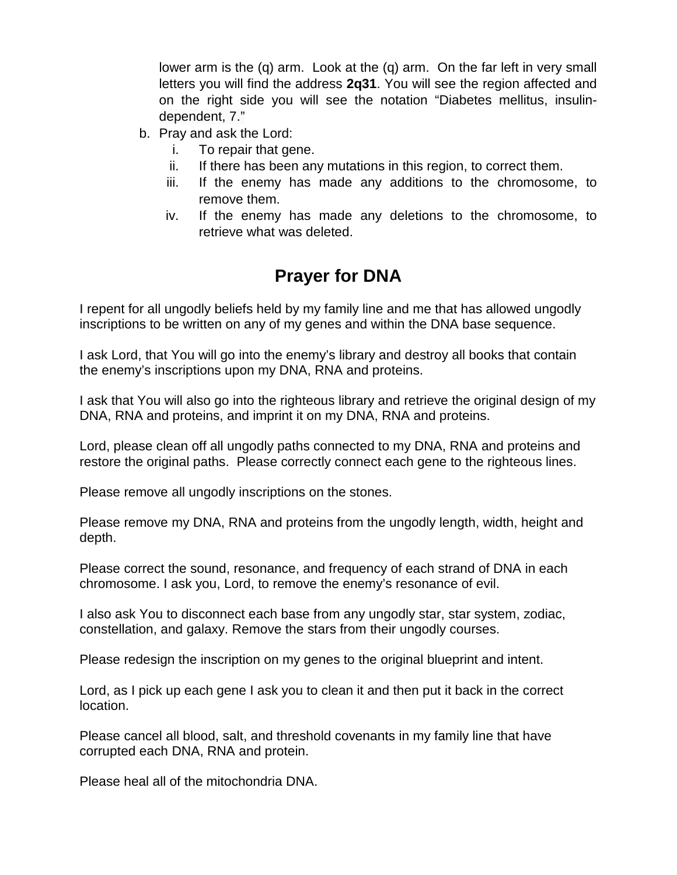lower arm is the (q) arm. Look at the (q) arm. On the far left in very small letters you will find the address **2q31**. You will see the region affected and on the right side you will see the notation "Diabetes mellitus, insulindependent, 7."

- b. Pray and ask the Lord:
	- i. To repair that gene.
	- ii. If there has been any mutations in this region, to correct them.
	- iii. If the enemy has made any additions to the chromosome, to remove them.
	- iv. If the enemy has made any deletions to the chromosome, to retrieve what was deleted.

## **Prayer for DNA**

I repent for all ungodly beliefs held by my family line and me that has allowed ungodly inscriptions to be written on any of my genes and within the DNA base sequence.

I ask Lord, that You will go into the enemy's library and destroy all books that contain the enemy's inscriptions upon my DNA, RNA and proteins.

I ask that You will also go into the righteous library and retrieve the original design of my DNA, RNA and proteins, and imprint it on my DNA, RNA and proteins.

Lord, please clean off all ungodly paths connected to my DNA, RNA and proteins and restore the original paths. Please correctly connect each gene to the righteous lines.

Please remove all ungodly inscriptions on the stones.

Please remove my DNA, RNA and proteins from the ungodly length, width, height and depth.

Please correct the sound, resonance, and frequency of each strand of DNA in each chromosome. I ask you, Lord, to remove the enemy's resonance of evil.

I also ask You to disconnect each base from any ungodly star, star system, zodiac, constellation, and galaxy. Remove the stars from their ungodly courses.

Please redesign the inscription on my genes to the original blueprint and intent.

Lord, as I pick up each gene I ask you to clean it and then put it back in the correct location.

Please cancel all blood, salt, and threshold covenants in my family line that have corrupted each DNA, RNA and protein.

Please heal all of the mitochondria DNA.